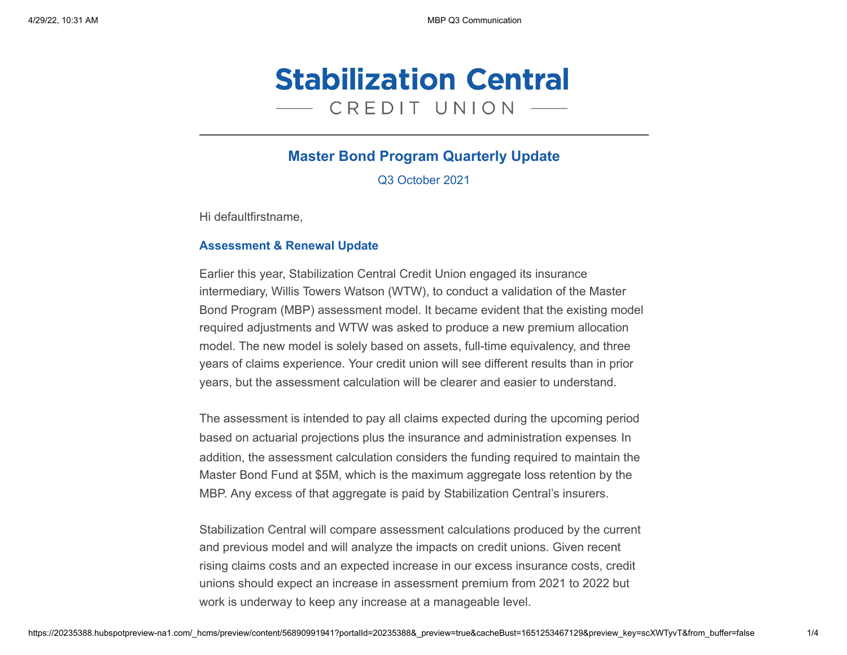

# **Master Bond Program Quarterly Update**

Q3 October 2021

Hi defaultfirstname,

## **Assessment & Renewal Update**

Earlier this year, Stabilization Central Credit Union engaged its insurance intermediary, Willis Towers Watson (WTW), to conduct a validation of the Master Bond Program (MBP) assessment model. It became evident that the existing model required adjustments and WTW was asked to produce a new premium allocation model. The new model is solely based on assets, full-time equivalency, and three years of claims experience. Your credit union will see different results than in prior years, but the assessment calculation will be clearer and easier to understand.

The assessment is intended to pay all claims expected during the upcoming period based on actuarial projections plus the insurance and administration expenses. In addition, the assessment calculation considers the funding required to maintain the Master Bond Fund at \$5M, which is the maximum aggregate loss retention by the MBP. Any excess of that aggregate is paid by Stabilization Central's insurers.

Stabilization Central will compare assessment calculations produced by the current and previous model and will analyze the impacts on credit unions. Given recent rising claims costs and an expected increase in our excess insurance costs, credit unions should expect an increase in assessment premium from 2021 to 2022 but work is underway to keep any increase at a manageable level.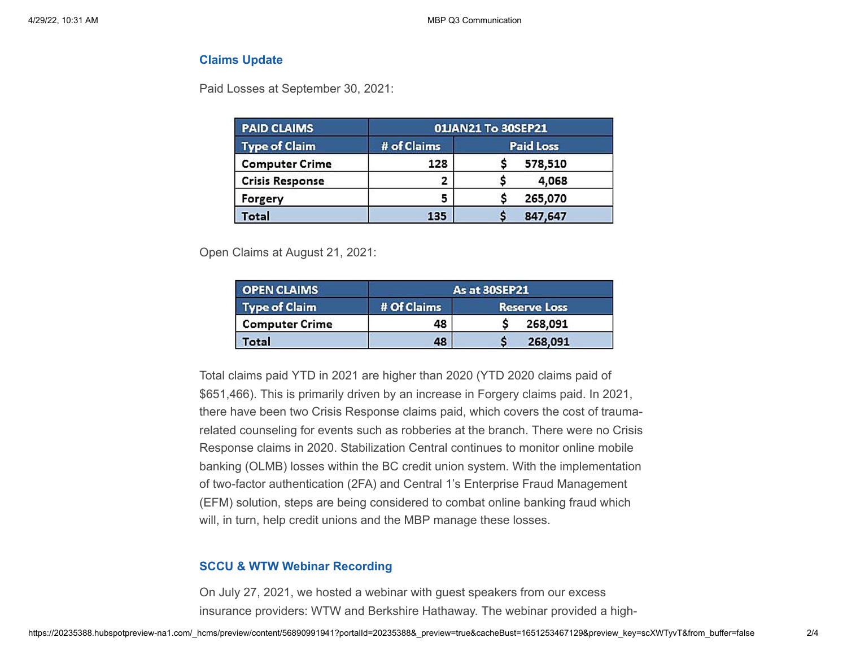### **Claims Update**

Paid Losses at September 30, 2021:

| <b>PAID CLAIMS</b><br><b>Type of Claim</b> | 01JAN21 To 30SEP21 |                  |
|--------------------------------------------|--------------------|------------------|
|                                            | # of Claims        | <b>Paid Loss</b> |
| <b>Computer Crime</b>                      | 128                | 578,510          |
| <b>Crisis Response</b>                     | 2                  | 4,068            |
| Forgery                                    | 5                  | 265,070          |
| <b>Total</b>                               | 135                | 847,647          |

Open Claims at August 21, 2021:

| <b>OPEN CLAIMS</b>    | As at 30SEP21 |                     |
|-----------------------|---------------|---------------------|
| <b>Type of Claim</b>  | # Of Claims   | <b>Reserve Loss</b> |
| <b>Computer Crime</b> | 48            | 268,091             |
| Total                 | 48            | 268,091             |

Total claims paid YTD in 2021 are higher than 2020 (YTD 2020 claims paid of \$651,466). This is primarily driven by an increase in Forgery claims paid. In 2021, there have been two Crisis Response claims paid, which covers the cost of traumarelated counseling for events such as robberies at the branch. There were no Crisis Response claims in 2020. Stabilization Central continues to monitor online mobile banking (OLMB) losses within the BC credit union system. With the implementation of two-factor authentication (2FA) and Central 1's Enterprise Fraud Management (EFM) solution, steps are being considered to combat online banking fraud which will, in turn, help credit unions and the MBP manage these losses.

### **SCCU & WTW Webinar Recording**

On July 27, 2021, we hosted a webinar with guest speakers from our excess insurance providers: WTW and Berkshire Hathaway. The webinar provided a high-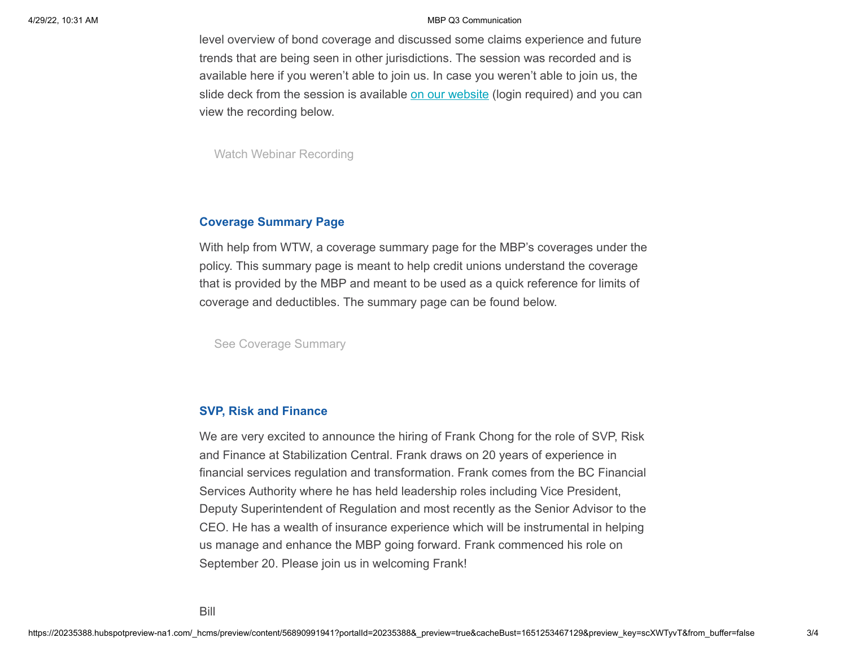#### 4/29/22, 10:31 AM MBP Q3 Communication

level overview of bond coverage and discussed some claims experience and future trends that are being seen in other jurisdictions. The session was recorded and is available here if you weren't able to join us. In case you weren't able to join us, the slide deck from the session is available [on our website](https://www.stabilizationcentral.com/master-bond-program/?utm_source=hs_email&utm_medium=email&_hsenc=p2ANqtz-8t20vbri8cVcIkNae1pBBN9cVxxejbC9-_KqOfxHKBxzPWpHjLUrOIcj-3K7HBK6UMsgOf) (login required) and you can view the recording below.

[Watch Webinar Recording](https://www.youtube.com/watch?v=pEYzl1VWNTY&utm_source=hs_email&utm_medium=email&_hsenc=p2ANqtz-8t20vbri8cVcIkNae1pBBN9cVxxejbC9-_KqOfxHKBxzPWpHjLUrOIcj-3K7HBK6UMsgOf)

### **Coverage Summary Page**

With help from WTW, a coverage summary page for the MBP's coverages under the policy. This summary page is meant to help credit unions understand the coverage that is provided by the MBP and meant to be used as a quick reference for limits of coverage and deductibles. The summary page can be found below.

[See Coverage Summary](https://f.hubspotusercontent30.net/hubfs/20235388/Coverage%20Summary.pdf?utm_source=hs_email&utm_medium=email&_hsenc=p2ANqtz-8t20vbri8cVcIkNae1pBBN9cVxxejbC9-_KqOfxHKBxzPWpHjLUrOIcj-3K7HBK6UMsgOf)

## **SVP, Risk and Finance**

We are very excited to announce the hiring of Frank Chong for the role of SVP, Risk and Finance at Stabilization Central. Frank draws on 20 years of experience in financial services regulation and transformation. Frank comes from the BC Financial Services Authority where he has held leadership roles including Vice President, Deputy Superintendent of Regulation and most recently as the Senior Advisor to the CEO. He has a wealth of insurance experience which will be instrumental in helping us manage and enhance the MBP going forward. Frank commenced his role on September 20. Please join us in welcoming Frank!